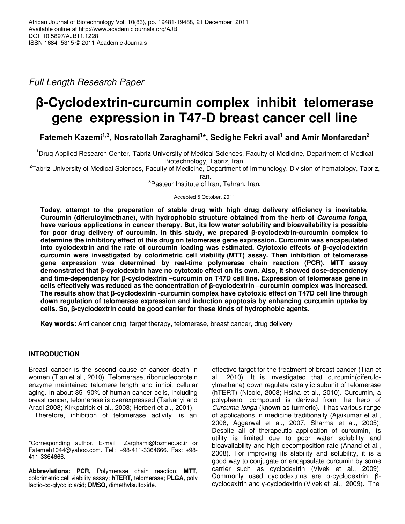Full Length Research Paper

# **β-Cyclodextrin-curcumin complex inhibit telomerase gene expression in T47-D breast cancer cell line**

**Fatemeh Kazemi1,3, Nosratollah Zaraghami<sup>1</sup> \*, Sedighe Fekri aval<sup>1</sup> and Amir Monfaredan<sup>2</sup>**

<sup>1</sup>Drug Applied Research Center, Tabriz University of Medical Sciences, Faculty of Medicine, Department of Medical Biotechnology, Tabriz, Iran.

<sup>2</sup>Tabriz University of Medical Sciences, Faculty of Medicine, Department of Immunology, Division of hematology, Tabriz, Iran.

<sup>3</sup>Pasteur Institute of Iran, Tehran, Iran.

Accepted 5 October, 2011

**Today, attempt to the preparation of stable drug with high drug delivery efficiency is inevitable. Curcumin (diferuloylmethane), with hydrophobic structure obtained from the herb of Curcuma longa, have various applications in cancer therapy. But, its low water solubility and bioavailability is possible for poor drug delivery of curcumin. In this study, we prepared β-cyclodextrin-curcumin complex to determine the inhibitory effect of this drug on telomerase gene expression. Curcumin was encapsulated into cyclodextrin and the rate of curcumin loading was estimated. Cytotoxic effects of β-cyclodextrin curcumin were investigated by colorimetric cell viability (MTT) assay. Then inhibition of telomerase gene expression was determined by real-time polymerase chain reaction (PCR). MTT assay demonstrated that β-cyclodextrin have no cytotoxic effect on its own. Also, it showed dose-dependency and time-dependency for β-cyclodextrin –curcumin on T47D cell line. Expression of telomerase gene in cells effectively was reduced as the concentration of β-cyclodextrin –curcumin complex was increased. The results show that β-cyclodextrin -curcumin complex have cytotoxic effect on T47D cell line through down regulation of telomerase expression and induction apoptosis by enhancing curcumin uptake by cells. So, β-cyclodextrin could be good carrier for these kinds of hydrophobic agents.** 

**Key words:** Anti cancer drug, target therapy, telomerase, breast cancer, drug delivery

# **INTRODUCTION**

Breast cancer is the second cause of cancer death in women (Tian et al., 2010). Telomerase, ribonucleoprotein enzyme maintained telomere length and inhibit cellular aging. In about 85 -90% of human cancer cells, including breast cancer, telomerase is overexpressed (Tarkanyi and Aradi 2008; Kirkpatrick et al., 2003; Herbert et al., 2001).

Therefore, inhibition of telomerase activity is an

**Abbreviations: PCR,** Polymerase chain reaction; **MTT,** colorimetric cell viability assay; **hTERT,** telomerase; **PLGA,** poly lactic-co-glycolic acid; **DMSO,** dimethylsulfoxide.

effective target for the treatment of breast cancer (Tian et al., 2010). It is investigated that curcumin(diferuloylmethane) down regulate catalytic subunit of telomerase (hTERT) (Nicole, 2008; Hsina et al., 2010). Curcumin, a polyphenol compound is derived from the herb of Curcuma longa (known as turmeric). It has various range of applications in medicine traditionally (Ajaikumar et al., 2008; Aggarwal et al., 2007; Sharma et al., 2005). Despite all of therapeutic application of curcumin, its utility is limited due to poor water solubility and bioavailability and high decomposition rate (Anand et al., 2008). For improving its stability and solubility, it is a good way to conjugate or encapsulate curcumin by some carrier such as cyclodextrin (Vivek et al., 2009). Commonly used cyclodextrins are α-cyclodextrin, βcyclodextrin and γ-cyclodextrin (Vivek et al., 2009). The

<sup>\*</sup>Corresponding author. E-mail : Zarghami@tbzmed.ac.ir or Fatemeh1044@yahoo.com. Tel : +98-411-3364666. Fax: +98- 411-3364666.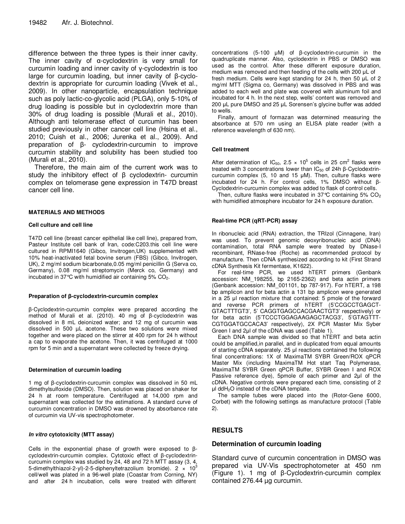difference between the three types is their inner cavity. The inner cavity of α-cyclodextrin is very small for curcumin loading and inner cavity of γ-cyclodextrin is too large for curcumin loading, but inner cavity of β-cyclodextrin is appropriate for curcumin loading (Vivek et al., 2009). In other nanoparticle, encapsulation technique such as poly lactic-co-glycolic acid (PLGA), only 5-10% of drug loading is possible but in cyclodextrin more than 30% of drug loading is possible (Murali et al., 2010). Although anti telomerase effect of curcumin has been studied previously in other cancer cell line (Hsina et al., 2010; Cuish et al., 2006; Jurenka et al., 2009). And preparation of β- cyclodextrin-curcumin to improve curcumin stability and solubility has been studied too (Murali et al., 2010).

Therefore, the main aim of the current work was to study the inhibitory effect of β cyclodextrin- curcumin complex on telomerase gene expression in T47D breast cancer cell line.

### **MATERIALS AND METHODS**

#### **Cell culture and cell line**

T47D cell line (breast cancer epithelial like cell line), prepared from, Pasteur Institute cell bank of Iran, code:C203.this cell line were cultured in RPMI1640 (Gibco, Invitrogen,UK) supplemented with 10% heat-inactivated fetal bovine serum (FBS) (Gibco, Invitrogen, UK), 2 mg/ml sodium bicarbonate,0.05 mg/ml penicillin G (Serva co, Germany), 0.08 mg/ml streptomycin (Merck co, Germany) and incubated in 37 $\degree$ C with humidified air containing 5% CO<sub>2</sub>.

#### **Preparation of β-cyclodextrin-curcumin complex**

β-Cyclodextrin-curcumin complex were prepared according the method of Murali et al. (2010). 40 mg of β-cyclodextrin was dissolved in 8 mL deionized water; and 12 mg of curcumin was dissolved in 500 µL acetone. These two solutions were mixed together and were placed on the stirrer at 400 rpm for 24 h without a cap to evaporate the acetone. Then, it was centrifuged at 1000 rpm for 5 min and a supernatant were collected by freeze drying.

#### **Determination of curcumin loading**

1 mg of β-cyclodextrin-curcumin complex was dissolved in 50 mL dimethylsulfoxide (DMSO). Then, solution was placed on shaker for 24 h at room temperature. Centrifuged at 14,000 rpm and supernatant was collected for the estimations. A standard curve of curcumin concentration in DMSO was drowned by absorbance rate of curcumin via UV-vis spectrophotometer.

#### **In vitro cytotoxicity (MTT assay)**

Cells in the exponential phase of growth were exposed to βcyclodextrin-curcumin complex. Cytotoxic effect of β-cyclodextrincurcumin complex was studied by 24, 48 and 72 h MTT assay (3, 4, 5-dimethylthiazol-2-yl)-2-5-diphenyltetrazolium bromide). 2 × 103 cell/well was plated in a 96-well plate (Coastar from Corning, NY) and after 24 h incubation, cells were treated with different

concentrations (5-100 µM) of β-cyclodextrin-curcumin in the quadruplicate manner. Also, cyclodextrin in PBS or DMSO was used as the control. After these different exposure duration, medium was removed and then feeding of the cells with 200 µL of fresh medium. Cells were kept standing for 24 h, then 50 µL of 2 mg/ml MTT (Sigma co, Germany) was dissolved in PBS and was added to each well and plate was covered with aluminum foil and incubated for 4 h. In the next step, wells' content was removed and 200 µL pure DMSO and 25 µL Sorensen's glycine buffer was added to wells.

Finally, amount of formazan was determined measuring the absorbance at 570 nm using an ELISA plate reader (with a reference wavelength of 630 nm).

### **Cell treatment**

After determination of IC<sub>50</sub>, 2.5  $\times$  10<sup>5</sup> cells in 25 cm<sup>2</sup> flasks were treated with 3 concentrations lower than  $IC_{50}$  of 24h β-Cyclodextrincurcumin complex  $(5, 10 \text{ and } 15 \text{ }\mu\text{M})$ . Then, culture flasks were incubated for 24 h. For control cells, 1% DMSO without β-Cyclodextrin-curcumin complex was added to flask of control cells.

Then, culture flasks were incubated in  $37^{\circ}$ C containing 5%  $CO<sub>2</sub>$ with humidified atmosphere incubator for 24 h exposure duration.

### **Real-time PCR (qRT-PCR) assay**

In ribonucleic acid (RNA) extraction, the TRIzol (Cinnagene, Iran) was used. To prevent genomic deoxyribonucleic acid (DNA) contamination, total RNA sample were treated by DNase-I recombinant, RNase-free (Roche) as recommended protocol by manufacture. Then cDNA synthesized according to kit (First Strand cDNA Synthesis Kit fermentase, K1622).

For real-time PCR, we used hTERT primers (Genbank accession: NM\_198255, bp 2165-2362) and beta actin primers (Genbank accession: NM\_001101, bp 787-917). For hTERT, a 198 bp amplicon and for beta actin a 131 bp amplicon were generated in a 25 µl reaction mixture that contained: 5 pmole of the forward and reverse PCR primers of hTERT (5'CCGCCTGAGCT-GTACTTTGT3', 5' CAGGTGAGCCACGAACTGT3' respectively) or for beta actin (5'TCCCTGGAGAAGAGCTACG3', 5'GTAGTTT-CGTGGATGCCACA3' respectively), 2X PCR Master Mix Syber Green I and 2µl of the cDNA was used (Table 1).

Each DNA sample was divided so that hTERT and beta actin could be amplified,in parallel, and in duplicated from equal amounts of starting cDNA separately. 25 µl reactions contained the following final concentrations: 1X of MaximaTM SYBR Green/ROX qPCR Master Mix (including MaximaTM Hot start Taq Polymerase, MaximaTM SYBR Green qPCR Buffer, SYBR Green I and ROX Passive reference dye), 5pmole of each primer and 2µl of the cDNA. Negative controls were prepared each time, consisting of 2 µl ddH2O instead of the cDNA template.

The sample tubes were placed into the (Rotor-Gene 6000, Corbet) with the following settings as manufacture protocol (Table 2).

# **RESULTS**

## **Determination of curcumin loading**

Standard curve of curcumin concentration in DMSO was prepared via UV-Vis spectrophotometer at 450 nm (Figure 1). 1 mg of β-Cyclodextrin-curcumin complex contained 276.44 µg curcumin.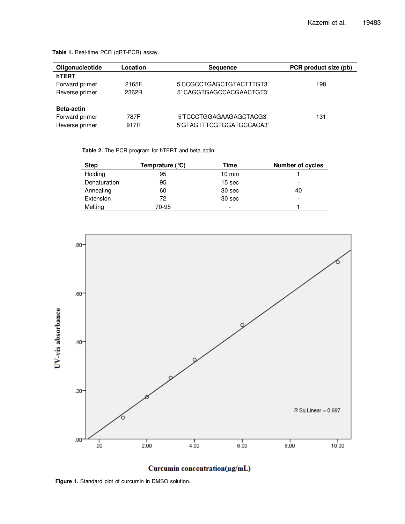| Oligonucleotide   | Location | <b>Sequence</b>          | PCR product size (pb) |  |
|-------------------|----------|--------------------------|-----------------------|--|
| hTERT             |          |                          |                       |  |
| Forward primer    | 2165F    | 5'CCGCCTGAGCTGTACTTTGT3' | 198                   |  |
| Reverse primer    | 2362R    | 5' CAGGTGAGCCACGAACTGT3' |                       |  |
| <b>Beta-actin</b> |          |                          |                       |  |
| Forward primer    | 787F     | 5'TCCCTGGAGAAGAGCTACG3'  | 131                   |  |
| Reverse primer    | 917R     | 5'GTAGTTTCGTGGATGCCACA3' |                       |  |

**Table 1.** Real-time PCR (qRT-PCR) assay.

**Table 2.** The PCR program for hTERT and beta actin.

| <b>Step</b>  | Temprature $(°C)$ | Time             | <b>Number of cycles</b>  |
|--------------|-------------------|------------------|--------------------------|
| Holding      | 95                | $10 \text{ min}$ |                          |
| Denaturation | 95                | 15 sec           | $\overline{\phantom{a}}$ |
| Annealing    | 60                | 30 sec           | 40                       |
| Extension    | 72                | 30 sec           | $\overline{\phantom{a}}$ |
| Melting      | 70-95             | -                |                          |





**Figure 1.** Standard plot of curcumin in DMSO solution.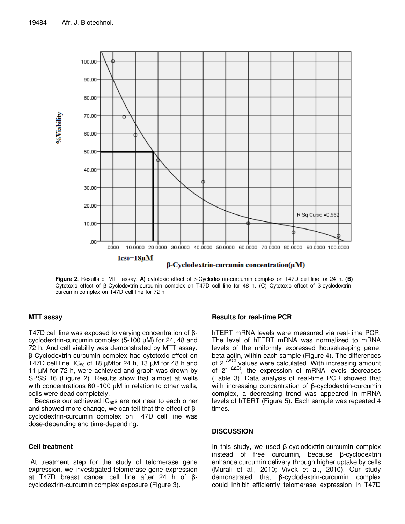

**Figure 2.** Results of MTT assay. **A)** cytotoxic effect of β-Cyclodextrin-curcumin complex on T47D cell line for 24 h. **(B)**  Cytotoxic effect of β-Cyclodextrin-curcumin complex on T47D cell line for 48 h. (C) Cytotoxic effect of β-cyclodextrincurcumin complex on T47D cell line for 72 h.

## **MTT assay**

T47D cell line was exposed to varying concentration of βcyclodextrin-curcumin complex (5-100 µM) for 24, 48 and 72 h. And cell viability was demonstrated by MTT assay. β-Cyclodextrin-curcumin complex had cytotoxic effect on T47D cell line.  $IC_{50}$  of 18 µMfor 24 h, 13 µM for 48 h and 11 µM for 72 h, were achieved and graph was drown by SPSS 16 (Figure 2). Results show that almost at wells with concentrations 60 -100  $\mu$ M in relation to other wells, cells were dead completely.

Because our achieved  $IC_{50}$ s are not near to each other and showed more change, we can tell that the effect of βcyclodextrin-curcumin complex on T47D cell line was dose-depending and time-depending.

# **Cell treatment**

 At treatment step for the study of telomerase gene expression, we investigated telomerase gene expression at T47D breast cancer cell line after 24 h of βcyclodextrin-curcumin complex exposure (Figure 3).

# **Results for real-time PCR**

hTERT mRNA levels were measured via real-time PCR. The level of hTERT mRNA was normalized to mRNA levels of the uniformly expressed housekeeping gene, beta actin, within each sample (Figure 4). The differences of 2<sup>-∆∆Ct</sup> values were calculated. With increasing amount of  $2^{-\Delta\Delta Ct}$ , the expression of mRNA levels decreases (Table 3). Data analysis of real-time PCR showed that with increasing concentration of β-cyclodextrin-curcumin complex, a decreasing trend was appeared in mRNA levels of hTERT (Figure 5). Each sample was repeated 4 times.

## **DISCUSSION**

In this study, we used β-cyclodextrin-curcumin complex instead of free curcumin, because β-cyclodextrin enhance curcumin delivery through higher uptake by cells (Murali et al., 2010; Vivek et al., 2010). Our study demonstrated that β-cyclodextrin-curcumin complex could inhibit efficiently telomerase expression in T47D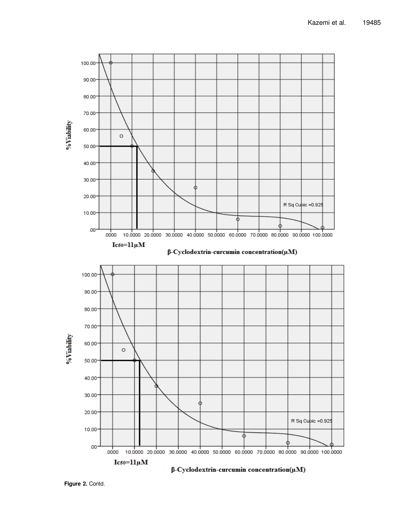

**Figure 2.** Contd.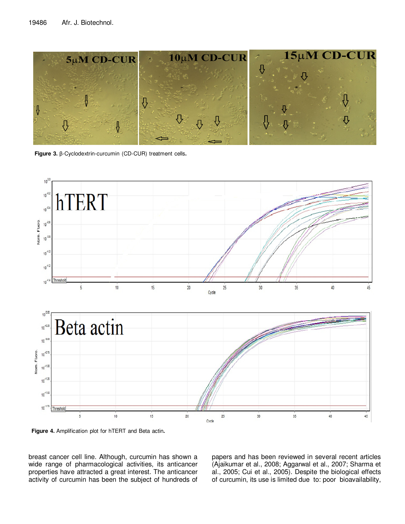

**Figure 3.** β-Cyclodextrin-curcumin (CD-CUR) treatment cells**.** 



**Figure 4.** Amplification plot for hTERT and Beta actin**.** 

breast cancer cell line. Although, curcumin has shown a wide range of pharmacological activities, its anticancer properties have attracted a great interest. The anticancer activity of curcumin has been the subject of hundreds of papers and has been reviewed in several recent articles (Ajaikumar et al., 2008; Aggarwal et al., 2007; Sharma et al., 2005; Cui et al., 2005). Despite the biological effects of curcumin, its use is limited due to: poor bioavailability,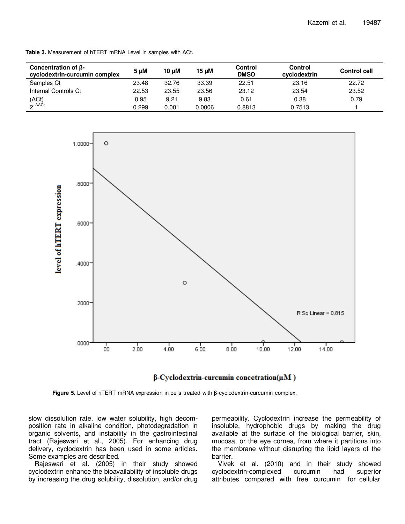| Concentration of $\beta$ -<br>cyclodextrin-curcumin complex | 5 µM  | 10 uM | 15 µM  | <b>Control</b><br><b>DMSO</b> | Control<br>cyclodextrin | <b>Control cell</b> |
|-------------------------------------------------------------|-------|-------|--------|-------------------------------|-------------------------|---------------------|
| Samples Ct                                                  | 23.48 | 32.76 | 33.39  | 22.51                         | 23.16                   | 22.72               |
| Internal Controls Ct                                        | 22.53 | 23.55 | 23.56  | 23.12                         | 23.54                   | 23.52               |
| (ΔCt)                                                       | 0.95  | 9.21  | 9.83   | 0.61                          | 0.38                    | 0.79                |
| $2^-\Delta\Delta$ Ct                                        | 0.299 | 0.001 | 0.0006 | 0.8813                        | 0.7513                  |                     |

**Table 3.** Measurement of hTERT mRNA Level in samples with ∆Ct.



## $\beta$ -Cyclodextrin-curcumin concetration( $\mu$ M)

**Figure 5.** Level of hTERT mRNA expression in cells treated with β-cyclodextrin-curcumin complex.

slow dissolution rate, low water solubility, high decomposition rate in alkaline condition, photodegradation in organic solvents, and instability in the gastrointestinal tract (Rajeswari et al., 2005). For enhancing drug delivery, cyclodextrin has been used in some articles. Some examples are described.

Rajeswari et al. (2005) in their study showed cyclodextrin enhance the bioavailability of insoluble drugs by increasing the drug solubility, dissolution, and/or drug

permeability. Cyclodextrin increase the permeability of insoluble, hydrophobic drugs by making the drug available at the surface of the biological barrier, skin, mucosa, or the eye cornea, from where it partitions into the membrane without disrupting the lipid layers of the barrier.

Vivek et al. (2010) and in their study showed cyclodextrin-complexed curcumin had superior attributes compared with free curcumin for cellular